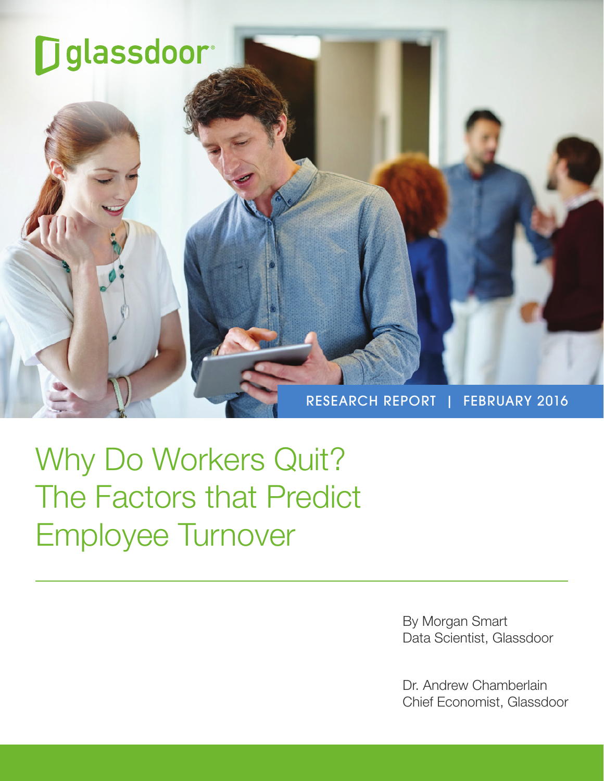

Why Do Workers Quit? The Factors that Predict Employee Turnover

> By Morgan Smart Data Scientist, Glassdoor

Dr. Andrew Chamberlain Chief Economist, Glassdoor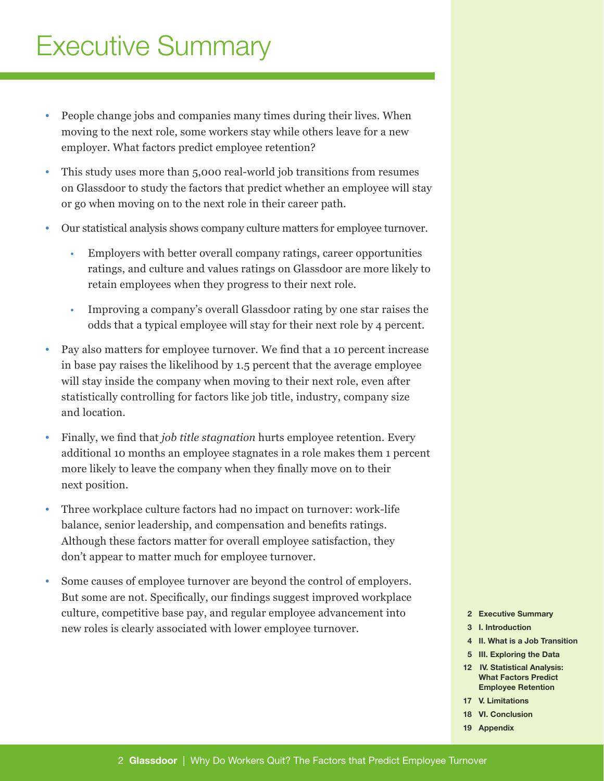# Executive Summary

- People change jobs and companies many times during their lives. When moving to the next role, some workers stay while others leave for a new employer. What factors predict employee retention?
- This study uses more than 5,000 real-world job transitions from resumes on Glassdoor to study the factors that predict whether an employee will stay or go when moving on to the next role in their career path.
- Our statistical analysis shows company culture matters for employee turnover.
	- Employers with better overall company ratings, career opportunities ratings, and culture and values ratings on Glassdoor are more likely to retain employees when they progress to their next role.
	- Improving a company's overall Glassdoor rating by one star raises the odds that a typical employee will stay for their next role by 4 percent.
- Pay also matters for employee turnover. We find that a 10 percent increase in base pay raises the likelihood by 1.5 percent that the average employee will stay inside the company when moving to their next role, even after statistically controlling for factors like job title, industry, company size and location.
- Finally, we find that *job title stagnation* hurts employee retention. Every additional 10 months an employee stagnates in a role makes them 1 percent more likely to leave the company when they finally move on to their next position.
- Three workplace culture factors had no impact on turnover: work-life balance, senior leadership, and compensation and benefits ratings. Although these factors matter for overall employee satisfaction, they don't appear to matter much for employee turnover.
- Some causes of employee turnover are beyond the control of employers. But some are not. Specifically, our findings suggest improved workplace culture, competitive base pay, and regular employee advancement into new roles is clearly associated with lower employee turnover.
- 2 Executive Summary
- 3 I. Introduction
- 4 II. What is a Job Transition
- 5 III. Exploring the Data
- 12 IV. Statistical Analysis: What Factors Predict Employee Retention
- 17 V. Limitations
- 18 VI. Conclusion
- 19 Appendix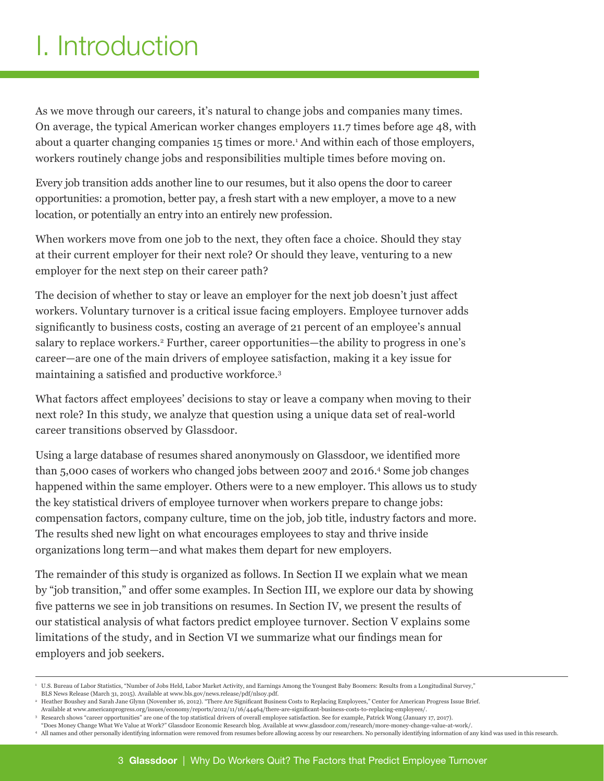# I. Introduction

As we move through our careers, it's natural to change jobs and companies many times. On average, the typical American worker changes employers 11.7 times before age 48, with about a quarter changing companies 15 times or more.<sup>1</sup> And within each of those employers, workers routinely change jobs and responsibilities multiple times before moving on.

Every job transition adds another line to our resumes, but it also opens the door to career opportunities: a promotion, better pay, a fresh start with a new employer, a move to a new location, or potentially an entry into an entirely new profession.

When workers move from one job to the next, they often face a choice. Should they stay at their current employer for their next role? Or should they leave, venturing to a new employer for the next step on their career path?

The decision of whether to stay or leave an employer for the next job doesn't just affect workers. Voluntary turnover is a critical issue facing employers. Employee turnover adds significantly to business costs, costing an average of 21 percent of an employee's annual salary to replace workers.<sup>2</sup> Further, career opportunities—the ability to progress in one's career—are one of the main drivers of employee satisfaction, making it a key issue for maintaining a satisfied and productive workforce.<sup>3</sup>

What factors affect employees' decisions to stay or leave a company when moving to their next role? In this study, we analyze that question using a unique data set of real-world career transitions observed by Glassdoor.

Using a large database of resumes shared anonymously on Glassdoor, we identified more than 5,000 cases of workers who changed jobs between 2007 and 2016.<sup>4</sup> Some job changes happened within the same employer. Others were to a new employer. This allows us to study the key statistical drivers of employee turnover when workers prepare to change jobs: compensation factors, company culture, time on the job, job title, industry factors and more. The results shed new light on what encourages employees to stay and thrive inside organizations long term—and what makes them depart for new employers.

The remainder of this study is organized as follows. In Section II we explain what we mean by "job transition," and offer some examples. In Section III, we explore our data by showing five patterns we see in job transitions on resumes. In Section IV, we present the results of our statistical analysis of what factors predict employee turnover. Section V explains some limitations of the study, and in Section VI we summarize what our findings mean for employers and job seekers.

"Does Money Change What We Value at Work?" Glassdoor Economic Research blog. Available at www.glassdoor.com/research/more-money-change-value-at-work/. <sup>4</sup> All names and other personally identifying information were removed from resumes before allowing access by our researchers. No personally identifying information of any kind was used in this research.

<sup>1</sup> U.S. Bureau of Labor Statistics, "Number of Jobs Held, Labor Market Activity, and Earnings Among the Youngest Baby Boomers: Results from a Longitudinal Survey," BLS News Release (March 31, 2015). Available at www.bls.gov/news.release/pdf/nlsoy.pdf.

<sup>2</sup> Heather Boushey and Sarah Jane Glynn (November 16, 2012). "There Are Significant Business Costs to Replacing Employees," Center for American Progress Issue Brief. Available at www.americanprogress.org/issues/economy/reports/2012/11/16/44464/there-are-significant-business-costs-to-replacing-employees/.

<sup>3</sup> Research shows "career opportunities" are one of the top statistical drivers of overall employee satisfaction. See for example, Patrick Wong (January 17, 2017).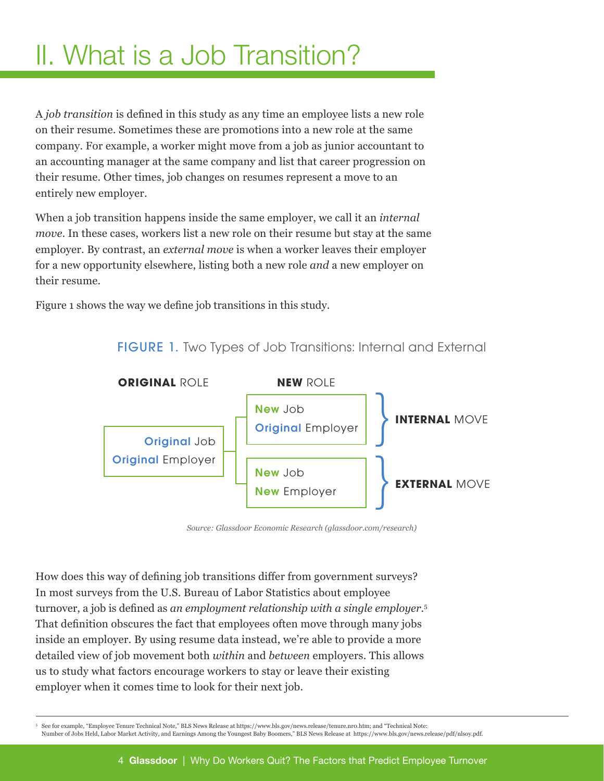# II. What is a Job Transition?

A *job transition* is defined in this study as any time an employee lists a new role on their resume. Sometimes these are promotions into a new role at the same company. For example, a worker might move from a job as junior accountant to an accounting manager at the same company and list that career progression on their resume. Other times, job changes on resumes represent a move to an entirely new employer.

When a job transition happens inside the same employer, we call it an *internal move*. In these cases, workers list a new role on their resume but stay at the same employer. By contrast, an *external move* is when a worker leaves their employer for a new opportunity elsewhere, listing both a new role *and* a new employer on their resume.

Figure 1 shows the way we define job transitions in this study.



FIGURE 1. Two Types of Job Transitions: Internal and External

*Source: Glassdoor Economic Research (glassdoor.com/research)*

How does this way of defining job transitions differ from government surveys? In most surveys from the U.S. Bureau of Labor Statistics about employee turnover, a job is defined as *an employment relationship with a single employer*. 5 That definition obscures the fact that employees often move through many jobs inside an employer. By using resume data instead, we're able to provide a more detailed view of job movement both *within* and *between* employers. This allows us to study what factors encourage workers to stay or leave their existing employer when it comes time to look for their next job.

<sup>5</sup> See for example, "Employee Tenure Technical Note," BLS News Release at https://www.bls.gov/news.release/tenure.nr0.htm; and "Technical Note: Number of Jobs Held, Labor Market Activity, and Earnings Among the Youngest Baby Boomers," BLS News Release at https://www.bls.gov/news.release/pdf/nlsoy.pdf.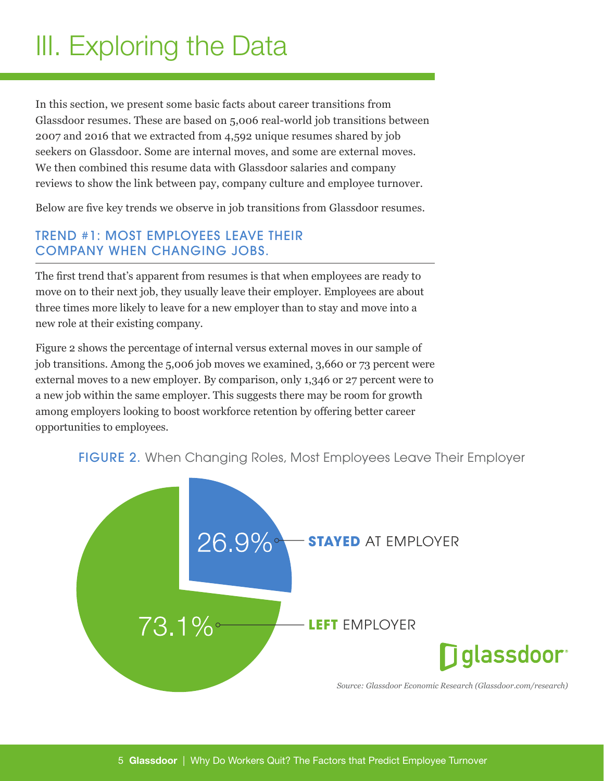# III. Exploring the Data

In this section, we present some basic facts about career transitions from Glassdoor resumes. These are based on 5,006 real-world job transitions between 2007 and 2016 that we extracted from 4,592 unique resumes shared by job seekers on Glassdoor. Some are internal moves, and some are external moves. We then combined this resume data with Glassdoor salaries and company reviews to show the link between pay, company culture and employee turnover.

Below are five key trends we observe in job transitions from Glassdoor resumes.

### TREND #1: MOST EMPLOYEES LEAVE THEIR COMPANY WHEN CHANGING JOBS.

The first trend that's apparent from resumes is that when employees are ready to move on to their next job, they usually leave their employer. Employees are about three times more likely to leave for a new employer than to stay and move into a new role at their existing company.

Figure 2 shows the percentage of internal versus external moves in our sample of job transitions. Among the 5,006 job moves we examined, 3,660 or 73 percent were external moves to a new employer. By comparison, only 1,346 or 27 percent were to a new job within the same employer. This suggests there may be room for growth among employers looking to boost workforce retention by offering better career opportunities to employees.

#### FIGURE 2. When Changing Roles, Most Employees Leave Their Employer

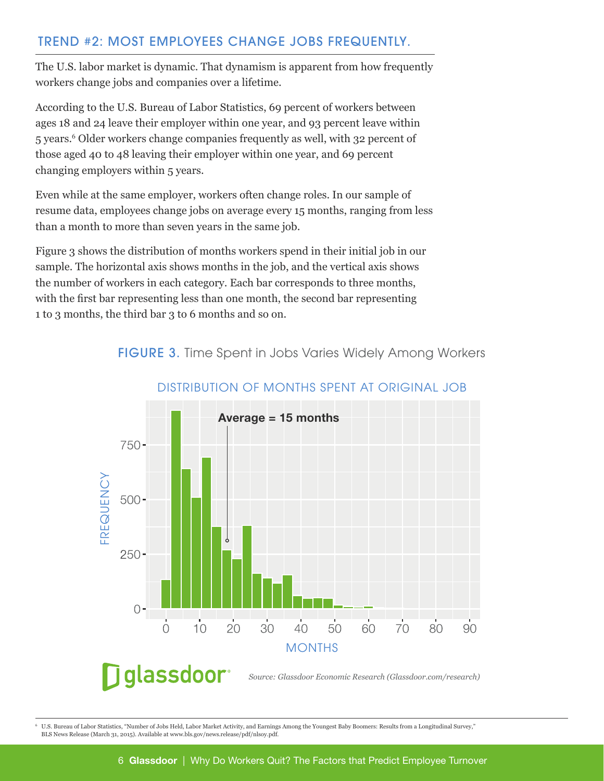### TREND #2: MOST EMPLOYEES CHANGE JOBS FREQUENTLY.

The U.S. labor market is dynamic. That dynamism is apparent from how frequently workers change jobs and companies over a lifetime.

According to the U.S. Bureau of Labor Statistics, 69 percent of workers between ages 18 and 24 leave their employer within one year, and 93 percent leave within 5 years.<sup>6</sup> Older workers change companies frequently as well, with 32 percent of those aged 40 to 48 leaving their employer within one year, and 69 percent changing employers within 5 years.

Even while at the same employer, workers often change roles. In our sample of resume data, employees change jobs on average every 15 months, ranging from less than a month to more than seven years in the same job.

Figure 3 shows the distribution of months workers spend in their initial job in our sample. The horizontal axis shows months in the job, and the vertical axis shows the number of workers in each category. Each bar corresponds to three months, with the first bar representing less than one month, the second bar representing 1 to 3 months, the third bar 3 to 6 months and so on.

FIGURE 3. Time Spent in Jobs Varies Widely Among Workers



#### DISTRIBUTION OF MONTHS SPENT AT ORIGINAL JOB

<sup>6</sup> U.S. Bureau of Labor Statistics, "Number of Jobs Held, Labor Market Activity, and Earnings Among the Youngest Baby Boomers: Results from a Longitudinal Survey," BLS News Release (March 31, 2015). Available at www.bls.gov/news.release/pdf/nlsoy.pdf.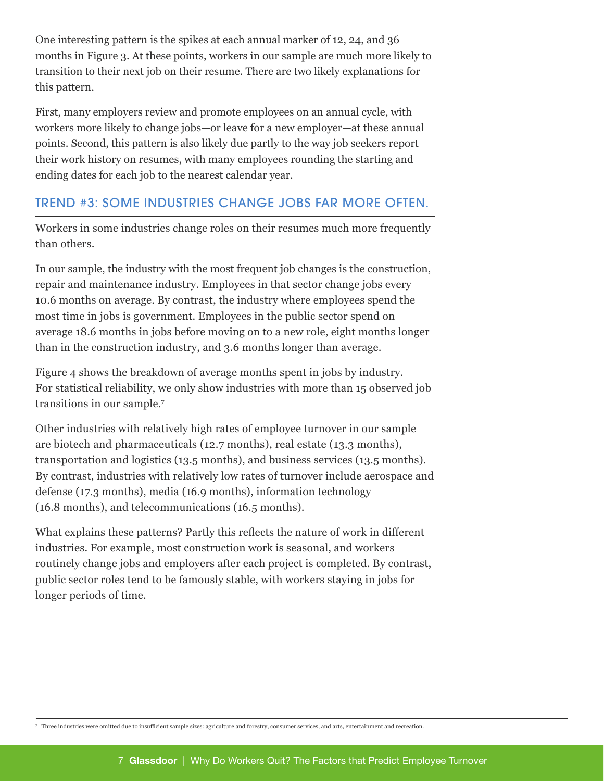One interesting pattern is the spikes at each annual marker of 12, 24, and 36 months in Figure 3. At these points, workers in our sample are much more likely to transition to their next job on their resume. There are two likely explanations for this pattern.

First, many employers review and promote employees on an annual cycle, with workers more likely to change jobs—or leave for a new employer—at these annual points. Second, this pattern is also likely due partly to the way job seekers report their work history on resumes, with many employees rounding the starting and ending dates for each job to the nearest calendar year.

### TREND #3: SOME INDUSTRIES CHANGE JOBS FAR MORE OFTEN.

Workers in some industries change roles on their resumes much more frequently than others.

In our sample, the industry with the most frequent job changes is the construction, repair and maintenance industry. Employees in that sector change jobs every 10.6 months on average. By contrast, the industry where employees spend the most time in jobs is government. Employees in the public sector spend on average 18.6 months in jobs before moving on to a new role, eight months longer than in the construction industry, and 3.6 months longer than average.

Figure 4 shows the breakdown of average months spent in jobs by industry. For statistical reliability, we only show industries with more than 15 observed job transitions in our sample.<sup>7</sup>

Other industries with relatively high rates of employee turnover in our sample are biotech and pharmaceuticals (12.7 months), real estate (13.3 months), transportation and logistics (13.5 months), and business services (13.5 months). By contrast, industries with relatively low rates of turnover include aerospace and defense (17.3 months), media (16.9 months), information technology (16.8 months), and telecommunications (16.5 months).

What explains these patterns? Partly this reflects the nature of work in different industries. For example, most construction work is seasonal, and workers routinely change jobs and employers after each project is completed. By contrast, public sector roles tend to be famously stable, with workers staying in jobs for longer periods of time.

<sup>7</sup> Three industries were omitted due to insufficient sample sizes: agriculture and forestry, consumer services, and arts, entertainment and recreation.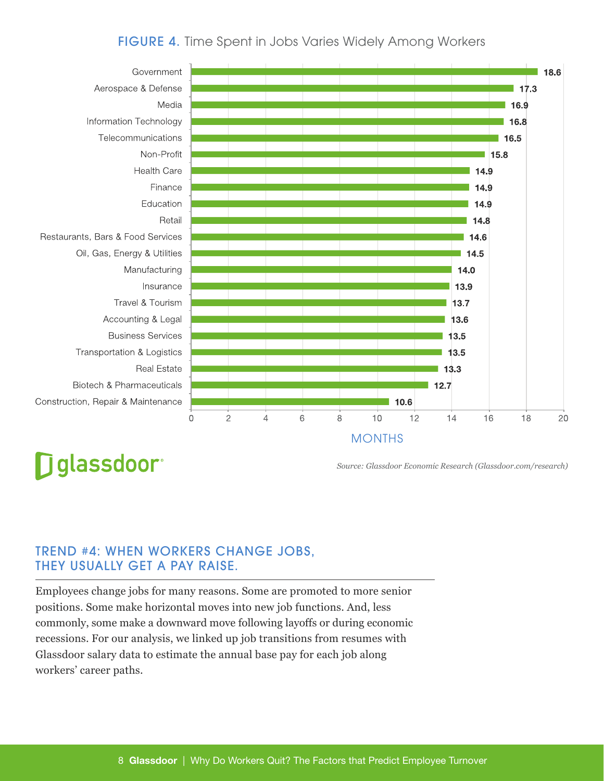#### FIGURE 4. Time Spent in Jobs Varies Widely Among Workers



## **D**glassdoor<sup>®</sup>

*Source: Glassdoor Economic Research (Glassdoor.com/research)*

#### TREND #4: WHEN WORKERS CHANGE JOBS, THEY USUALLY GET A PAY RAISE.

Employees change jobs for many reasons. Some are promoted to more senior positions. Some make horizontal moves into new job functions. And, less commonly, some make a downward move following layoffs or during economic recessions. For our analysis, we linked up job transitions from resumes with Glassdoor salary data to estimate the annual base pay for each job along workers' career paths.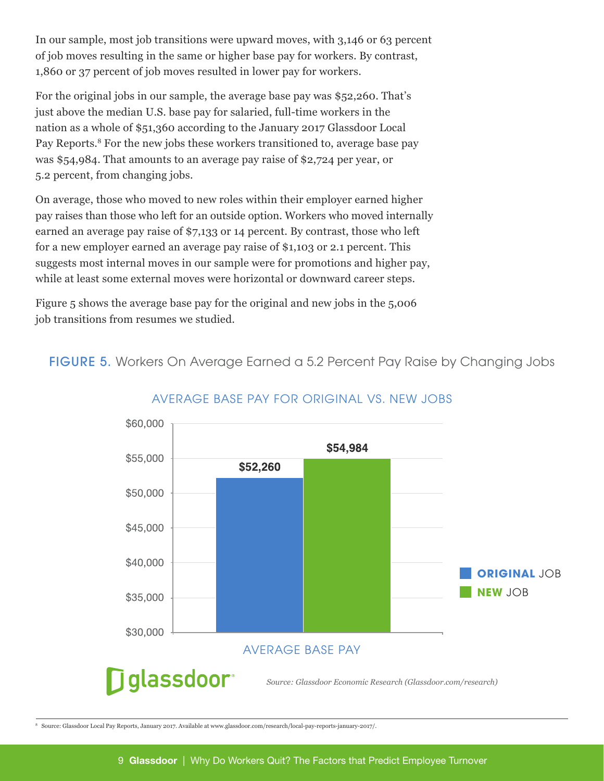In our sample, most job transitions were upward moves, with 3,146 or 63 percent of job moves resulting in the same or higher base pay for workers. By contrast, 1,860 or 37 percent of job moves resulted in lower pay for workers.

For the original jobs in our sample, the average base pay was \$52,260. That's just above the median U.S. base pay for salaried, full-time workers in the nation as a whole of \$51,360 according to the January 2017 Glassdoor Local Pay Reports.<sup>8</sup> For the new jobs these workers transitioned to, average base pay was \$54,984. That amounts to an average pay raise of \$2,724 per year, or 5.2 percent, from changing jobs.

On average, those who moved to new roles within their employer earned higher pay raises than those who left for an outside option. Workers who moved internally earned an average pay raise of \$7,133 or 14 percent. By contrast, those who left for a new employer earned an average pay raise of \$1,103 or 2.1 percent. This suggests most internal moves in our sample were for promotions and higher pay, while at least some external moves were horizontal or downward career steps.

Figure 5 shows the average base pay for the original and new jobs in the 5,006 job transitions from resumes we studied.

FIGURE 5. Workers On Average Earned a 5.2 Percent Pay Raise by Changing Jobs



#### AVERAGE BASE PAY FOR ORIGINAL VS. NEW JOBS

<sup>8</sup> Source: Glassdoor Local Pay Reports, January 2017. Available at www.glassdoor.com/research/local-pay-reports-january-2017/.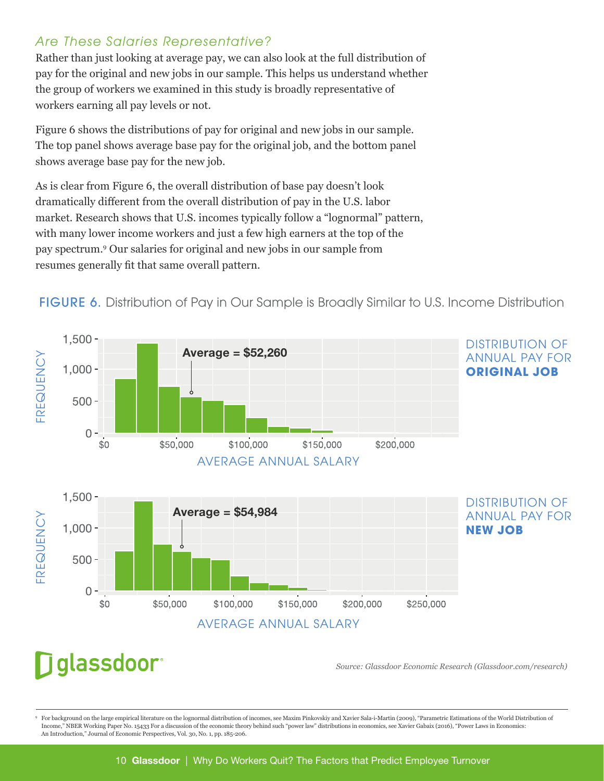#### *Are These Salaries Representative?*

Rather than just looking at average pay, we can also look at the full distribution of pay for the original and new jobs in our sample. This helps us understand whether the group of workers we examined in this study is broadly representative of workers earning all pay levels or not.

Figure 6 shows the distributions of pay for original and new jobs in our sample. The top panel shows average base pay for the original job, and the bottom panel shows average base pay for the new job.

As is clear from Figure 6, the overall distribution of base pay doesn't look dramatically different from the overall distribution of pay in the U.S. labor market. Research shows that U.S. incomes typically follow a "lognormal" pattern, with many lower income workers and just a few high earners at the top of the pay spectrum.<sup>9</sup> Our salaries for original and new jobs in our sample from resumes generally fit that same overall pattern.





## glassdoor<sup>®</sup>

*Source: Glassdoor Economic Research (Glassdoor.com/research)*

<sup>9</sup> For background on the large empirical literature on the lognormal distribution of incomes, see Maxim Pinkovskiy and Xavier Sala-i-Martin (2009), "Parametric Estimations of the World Distribution of Income," NBER Working Paper No. 15433 For a discussion of the economic theory behind such "power law" distributions in economics, see Xavier Gabaix (2016), "Power Laws in Economics: An Introduction," Journal of Economic Perspectives, Vol. 30, No. 1, pp. 185-206.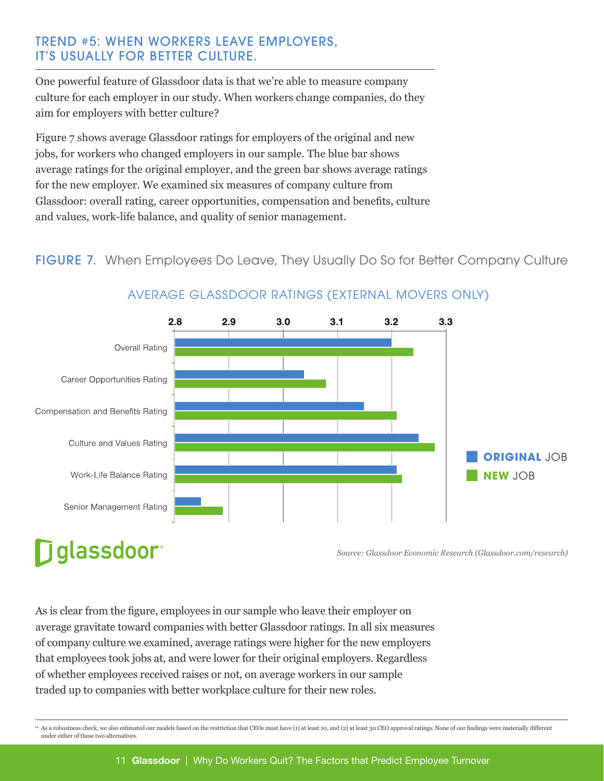#### TREND #5: WHEN WORKERS LEAVE EMPLOYERS, IT'S USUALLY FOR BETTER CULTURE.

One powerful feature of Glassdoor data is that we're able to measure company culture for each employer in our study. When workers change companies, do they aim for employers with better culture?

Figure 7 shows average Glassdoor ratings for employers of the original and new jobs, for workers who changed employers in our sample. The blue bar shows average ratings for the original employer, and the green bar shows average ratings for the new employer. We examined six measures of company culture from Glassdoor: overall rating, career opportunities, compensation and benefits, culture and values, work-life balance, and quality of senior management.

### FIGURE 7. When Employees Do Leave, They Usually Do So for Better Company Culture



### AVERAGE GLASSDOOR RATINGS (EXTERNAL MOVERS ONLY)

# **D**glassdoor®

*Source: Glassdoor Economic Research (Glassdoor.com/research)*

As is clear from the figure, employees in our sample who leave their employer on average gravitate toward companies with better Glassdoor ratings. In all six measures of company culture we examined, average ratings were higher for the new employers that employees took jobs at, and were lower for their original employers. Regardless of whether employees received raises or not, on average workers in our sample traded up to companies with better workplace culture for their new roles.

<sup>14</sup> As a robustness check, we also estimated our models based on the restriction that CEOs must have (1) at least 10, and (2) at least 30 CEO approval ratings. None of our findings were materially different under either of these two alternatives.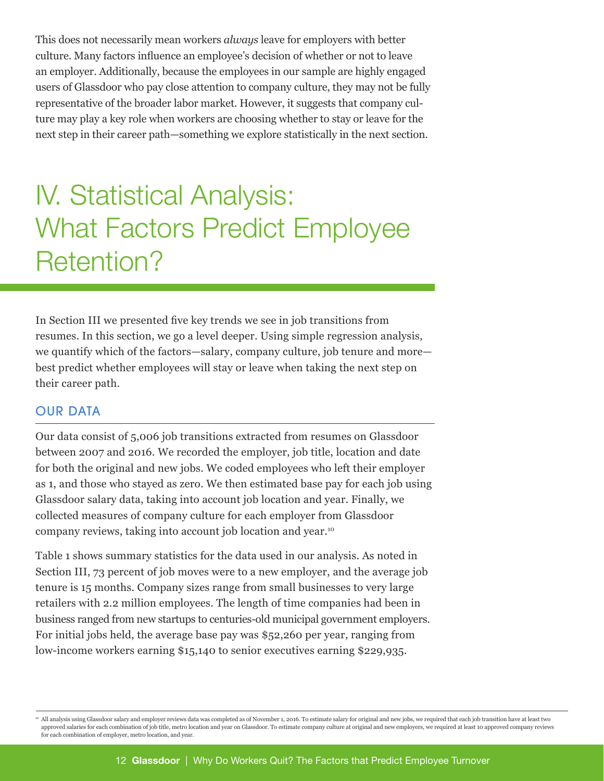This does not necessarily mean workers *always* leave for employers with better culture. Many factors influence an employee's decision of whether or not to leave an employer. Additionally, because the employees in our sample are highly engaged users of Glassdoor who pay close attention to company culture, they may not be fully representative of the broader labor market. However, it suggests that company culture may play a key role when workers are choosing whether to stay or leave for the next step in their career path—something we explore statistically in the next section.

# IV. Statistical Analysis: What Factors Predict Employee Retention?

In Section III we presented five key trends we see in job transitions from resumes. In this section, we go a level deeper. Using simple regression analysis, we quantify which of the factors—salary, company culture, job tenure and more best predict whether employees will stay or leave when taking the next step on their career path.

#### OUR DATA

Our data consist of 5,006 job transitions extracted from resumes on Glassdoor between 2007 and 2016. We recorded the employer, job title, location and date for both the original and new jobs. We coded employees who left their employer as 1, and those who stayed as zero. We then estimated base pay for each job using Glassdoor salary data, taking into account job location and year. Finally, we collected measures of company culture for each employer from Glassdoor company reviews, taking into account job location and year.<sup>10</sup>

Table 1 shows summary statistics for the data used in our analysis. As noted in Section III, 73 percent of job moves were to a new employer, and the average job tenure is 15 months. Company sizes range from small businesses to very large retailers with 2.2 million employees. The length of time companies had been in business ranged from new startups to centuries-old municipal government employers. For initial jobs held, the average base pay was \$52,260 per year, ranging from low-income workers earning \$15,140 to senior executives earning \$229,935.

 $\Phi$  All analysis using Glassdoor salary and employer reviews data was completed as of November 1, 2016. To estimate salary for original and new jobs, we required that each job transition have at least two approved salaries for each combination of job title, metro location and year on Glassdoor. To estimate company culture at original and new employers, we required at least 10 approved company reviews for each combination of employer, metro location, and year.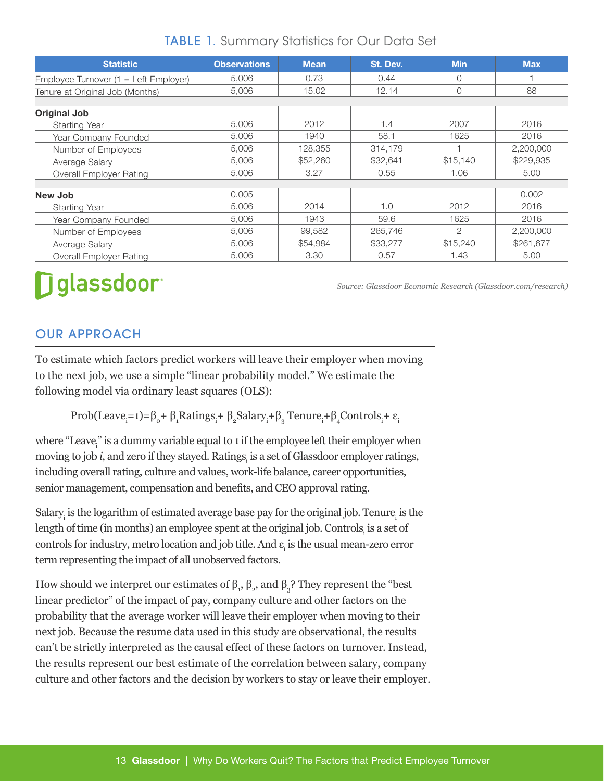| <b>Statistic</b>                               | <b>Observations</b> | <b>Mean</b> | St. Dev. | <b>Min</b> | <b>Max</b> |  |  |  |  |
|------------------------------------------------|---------------------|-------------|----------|------------|------------|--|--|--|--|
| Employee Turnover $(1 = \text{Left Employee})$ | 5,006               | 0.73        | 0.44     | 0          |            |  |  |  |  |
| Tenure at Original Job (Months)                | 5,006               | 15.02       | 12.14    | 0          | 88         |  |  |  |  |
|                                                |                     |             |          |            |            |  |  |  |  |
| Original Job                                   |                     |             |          |            |            |  |  |  |  |
| <b>Starting Year</b>                           | 5.006               | 2012        | 1.4      | 2007       | 2016       |  |  |  |  |
| Year Company Founded                           | 5,006               | 1940        | 58.1     | 1625       | 2016       |  |  |  |  |
| Number of Employees                            | 5,006               | 128,355     | 314,179  |            | 2,200,000  |  |  |  |  |
| Average Salary                                 | 5,006               | \$52,260    | \$32,641 | \$15,140   | \$229,935  |  |  |  |  |
| <b>Overall Employer Rating</b>                 | 5,006               | 3.27        | 0.55     | 1.06       | 5.00       |  |  |  |  |
|                                                |                     |             |          |            |            |  |  |  |  |
| New Job                                        | 0.005               |             |          |            | 0.002      |  |  |  |  |
| <b>Starting Year</b>                           | 5,006               | 2014        | 1.0      | 2012       | 2016       |  |  |  |  |
| Year Company Founded                           | 5,006               | 1943        | 59.6     | 1625       | 2016       |  |  |  |  |
| Number of Employees                            | 5,006               | 99,582      | 265,746  | 2          | 2,200,000  |  |  |  |  |
| Average Salary                                 | 5,006               | \$54,984    | \$33,277 | \$15,240   | \$261,677  |  |  |  |  |
| Overall Employer Rating                        | 5,006               | 3.30        | 0.57     | 1.43       | 5.00       |  |  |  |  |

## TABLE 1. Summary Statistics for Our Data Set

# **Dglassdoor**

*Source: Glassdoor Economic Research (Glassdoor.com/research)*

## OUR APPROACH

To estimate which factors predict workers will leave their employer when moving to the next job, we use a simple "linear probability model." We estimate the following model via ordinary least squares (OLS):

Prob(Leave<sub>i</sub>=1)= $\beta_o + \beta_1$ Ratings<sub>i</sub>+ $\beta_2$ Salary<sub>i</sub>+ $\beta_3$  Tenure<sub>i</sub>+ $\beta_4$ Controls<sub>i</sub>+ $\varepsilon_i$ 

where "Leave<sub>i</sub>" is a dummy variable equal to 1 if the employee left their employer when moving to job *i*, and zero if they stayed. Ratings<sub>i</sub> is a set of Glassdoor employer ratings, including overall rating, culture and values, work-life balance, career opportunities, senior management, compensation and benefits, and CEO approval rating.

Salary $_i$  is the logarithm of estimated average base pay for the original job. Tenure $_i$  is the length of time (in months) an employee spent at the original job. Controls $_{\rm i}$  is a set of controls for industry, metro location and job title. And  $\varepsilon_{\rm i}$  is the usual mean-zero error term representing the impact of all unobserved factors.

How should we interpret our estimates of  $\beta_1$ ,  $\beta_2$ , and  $\beta_3$ ? They represent the "best linear predictor" of the impact of pay, company culture and other factors on the probability that the average worker will leave their employer when moving to their next job. Because the resume data used in this study are observational, the results can't be strictly interpreted as the causal effect of these factors on turnover. Instead, the results represent our best estimate of the correlation between salary, company culture and other factors and the decision by workers to stay or leave their employer.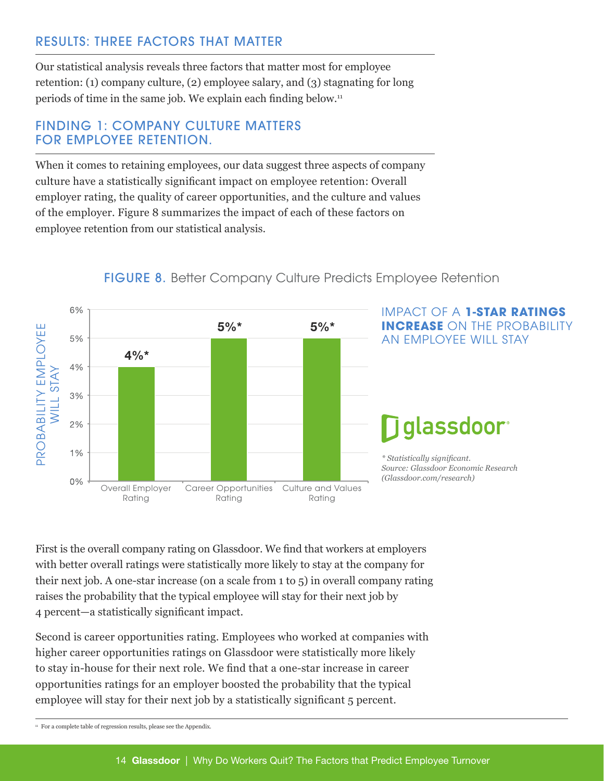## RESULTS: THREE FACTORS THAT MATTER

Our statistical analysis reveals three factors that matter most for employee retention: (1) company culture, (2) employee salary, and (3) stagnating for long periods of time in the same job. We explain each finding below.11

#### FINDING 1: COMPANY CULTURE MATTERS FOR EMPLOYEE RETENTION.

When it comes to retaining employees, our data suggest three aspects of company culture have a statistically significant impact on employee retention: Overall employer rating, the quality of career opportunities, and the culture and values of the employer. Figure 8 summarizes the impact of each of these factors on employee retention from our statistical analysis.



### FIGURE 8. Better Company Culture Predicts Employee Retention

### IMPACT OF A **1-STAR RATINGS INCREASE** ON THE PROBABILITY AN EMPLOYEE WILL STAY

## glassdoor

*\* Statistically significant. Source: Glassdoor Economic Research (Glassdoor.com/research)*

First is the overall company rating on Glassdoor. We find that workers at employers with better overall ratings were statistically more likely to stay at the company for their next job. A one-star increase (on a scale from 1 to 5) in overall company rating raises the probability that the typical employee will stay for their next job by 4 percent—a statistically significant impact.

Second is career opportunities rating. Employees who worked at companies with higher career opportunities ratings on Glassdoor were statistically more likely to stay in-house for their next role. We find that a one-star increase in career opportunities ratings for an employer boosted the probability that the typical employee will stay for their next job by a statistically significant 5 percent.

<sup>11</sup> For a complete table of regression results, please see the Appendix.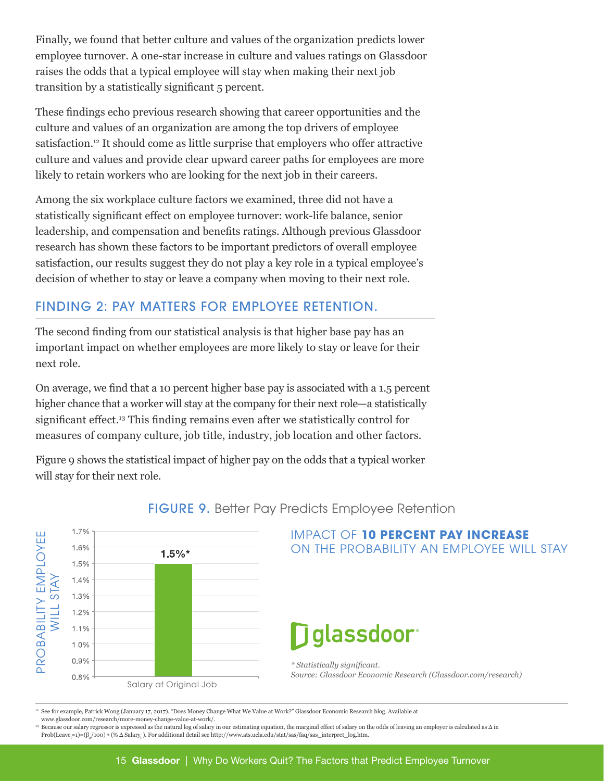Finally, we found that better culture and values of the organization predicts lower employee turnover. A one-star increase in culture and values ratings on Glassdoor raises the odds that a typical employee will stay when making their next job transition by a statistically significant 5 percent.

These findings echo previous research showing that career opportunities and the culture and values of an organization are among the top drivers of employee satisfaction.12 It should come as little surprise that employers who offer attractive culture and values and provide clear upward career paths for employees are more likely to retain workers who are looking for the next job in their careers.

Among the six workplace culture factors we examined, three did not have a statistically significant effect on employee turnover: work-life balance, senior leadership, and compensation and benefits ratings. Although previous Glassdoor research has shown these factors to be important predictors of overall employee satisfaction, our results suggest they do not play a key role in a typical employee's decision of whether to stay or leave a company when moving to their next role.

### FINDING 2: PAY MATTERS FOR EMPLOYEE RETENTION.

The second finding from our statistical analysis is that higher base pay has an important impact on whether employees are more likely to stay or leave for their next role.

On average, we find that a 10 percent higher base pay is associated with a 1.5 percent higher chance that a worker will stay at the company for their next role—a statistically significant effect.<sup>13</sup> This finding remains even after we statistically control for measures of company culture, job title, industry, job location and other factors.

Figure 9 shows the statistical impact of higher pay on the odds that a typical worker will stay for their next role.



#### FIGURE 9. Better Pay Predicts Employee Retention

<sup>12</sup> See for example, Patrick Wong (January 17, 2017). "Does Money Change What We Value at Work?" Glassdoor Economic Research blog. Available at

<sup>13</sup> Because our salary regressor is expressed as the natural log of salary in our estimating equation, the marginal effect of salary on the odds of leaving an employer is calculated as Δ in Prob(Leave<sub>i</sub>=1)=(β<sub>2</sub>/100) \* (% Δ Salary<sub>i</sub>). For additional detail see http://www.ats.ucla.edu/stat/sas/faq/sas\_interpret\_log.htm.

www.glassdoor.com/research/more-money-change-value-at-work/.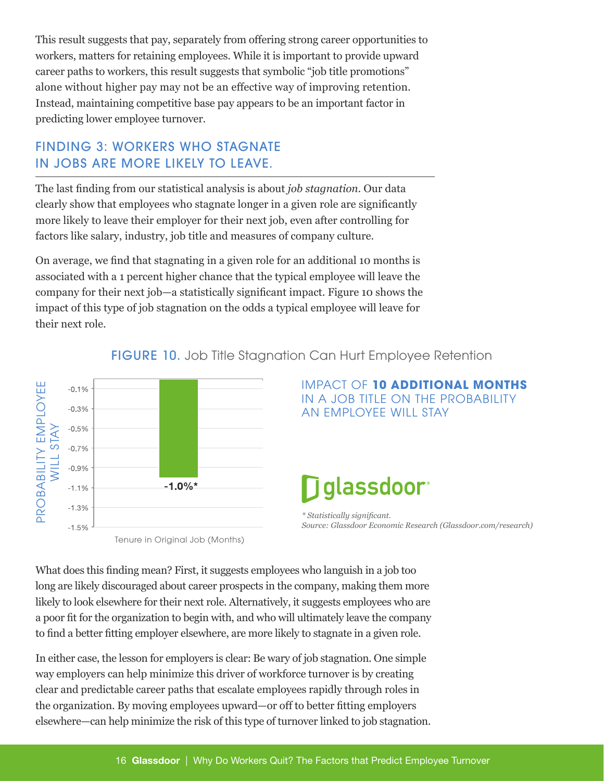This result suggests that pay, separately from offering strong career opportunities to workers, matters for retaining employees. While it is important to provide upward career paths to workers, this result suggests that symbolic "job title promotions" alone without higher pay may not be an effective way of improving retention. Instead, maintaining competitive base pay appears to be an important factor in predicting lower employee turnover.

## FINDING 3: WORKERS WHO STAGNATE IN JOBS ARE MORE LIKELY TO LEAVE.

The last finding from our statistical analysis is about *job stagnation*. Our data clearly show that employees who stagnate longer in a given role are significantly more likely to leave their employer for their next job, even after controlling for factors like salary, industry, job title and measures of company culture.

On average, we find that stagnating in a given role for an additional 10 months is associated with a 1 percent higher chance that the typical employee will leave the company for their next job—a statistically significant impact. Figure 10 shows the impact of this type of job stagnation on the odds a typical employee will leave for their next role.



FIGURE 10. Job Title Stagnation Can Hurt Employee Retention

What does this finding mean? First, it suggests employees who languish in a job too long are likely discouraged about career prospects in the company, making them more likely to look elsewhere for their next role. Alternatively, it suggests employees who are a poor fit for the organization to begin with, and who will ultimately leave the company to find a better fitting employer elsewhere, are more likely to stagnate in a given role.

In either case, the lesson for employers is clear: Be wary of job stagnation. One simple way employers can help minimize this driver of workforce turnover is by creating clear and predictable career paths that escalate employees rapidly through roles in the organization. By moving employees upward—or off to better fitting employers elsewhere—can help minimize the risk of this type of turnover linked to job stagnation.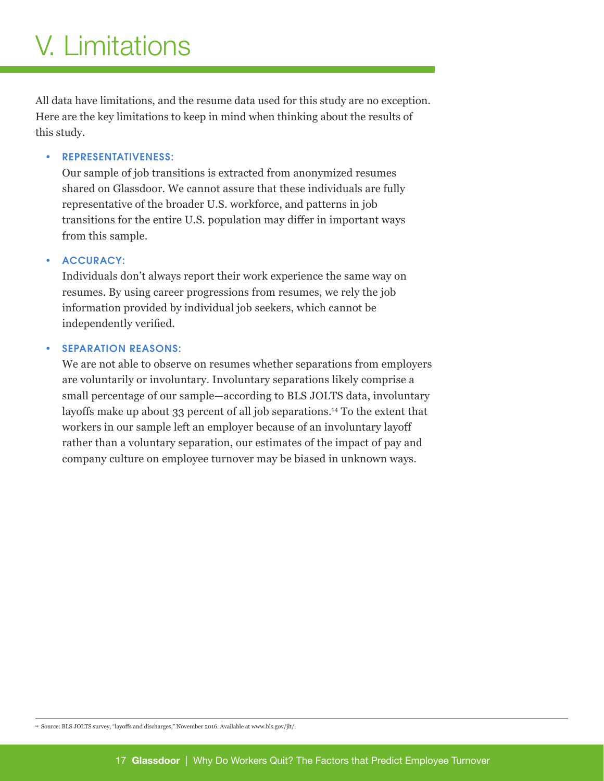# V. Limitations

All data have limitations, and the resume data used for this study are no exception. Here are the key limitations to keep in mind when thinking about the results of this study.

#### • REPRESENTATIVENESS:

Our sample of job transitions is extracted from anonymized resumes shared on Glassdoor. We cannot assure that these individuals are fully representative of the broader U.S. workforce, and patterns in job transitions for the entire U.S. population may differ in important ways from this sample.

#### ACCURACY:

Individuals don't always report their work experience the same way on resumes. By using career progressions from resumes, we rely the job information provided by individual job seekers, which cannot be independently verified.

#### **SEPARATION REASONS:**

We are not able to observe on resumes whether separations from employers are voluntarily or involuntary. Involuntary separations likely comprise a small percentage of our sample—according to BLS JOLTS data, involuntary layoffs make up about 33 percent of all job separations.14 To the extent that workers in our sample left an employer because of an involuntary layoff rather than a voluntary separation, our estimates of the impact of pay and company culture on employee turnover may be biased in unknown ways.

<sup>14</sup> Source: BLS JOLTS survey, "layoffs and discharges," November 2016. Available at www.bls.gov/jlt/.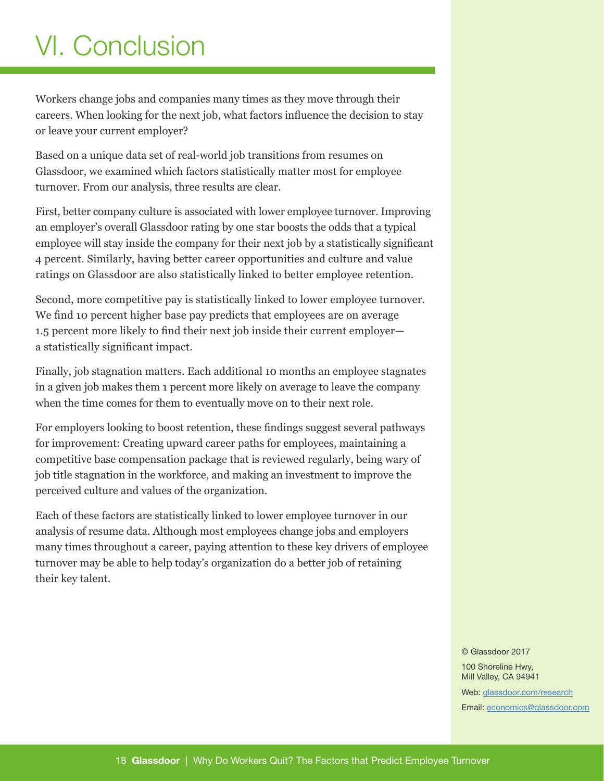# VI. Conclusion

Workers change jobs and companies many times as they move through their careers. When looking for the next job, what factors influence the decision to stay or leave your current employer?

Based on a unique data set of real-world job transitions from resumes on Glassdoor, we examined which factors statistically matter most for employee turnover. From our analysis, three results are clear.

First, better company culture is associated with lower employee turnover. Improving an employer's overall Glassdoor rating by one star boosts the odds that a typical employee will stay inside the company for their next job by a statistically significant 4 percent. Similarly, having better career opportunities and culture and value ratings on Glassdoor are also statistically linked to better employee retention.

Second, more competitive pay is statistically linked to lower employee turnover. We find 10 percent higher base pay predicts that employees are on average 1.5 percent more likely to find their next job inside their current employer a statistically significant impact.

Finally, job stagnation matters. Each additional 10 months an employee stagnates in a given job makes them 1 percent more likely on average to leave the company when the time comes for them to eventually move on to their next role.

For employers looking to boost retention, these findings suggest several pathways for improvement: Creating upward career paths for employees, maintaining a competitive base compensation package that is reviewed regularly, being wary of job title stagnation in the workforce, and making an investment to improve the perceived culture and values of the organization.

Each of these factors are statistically linked to lower employee turnover in our analysis of resume data. Although most employees change jobs and employers many times throughout a career, paying attention to these key drivers of employee turnover may be able to help today's organization do a better job of retaining their key talent.

© Glassdoor 2017

100 Shoreline Hwy, Mill Valley, CA 94941

Web: [glassdoor.com/research](http://glassdoor.com/research) Email: [economics@glassdoor.com](mailto:economics%40glassdoor.com?subject=)